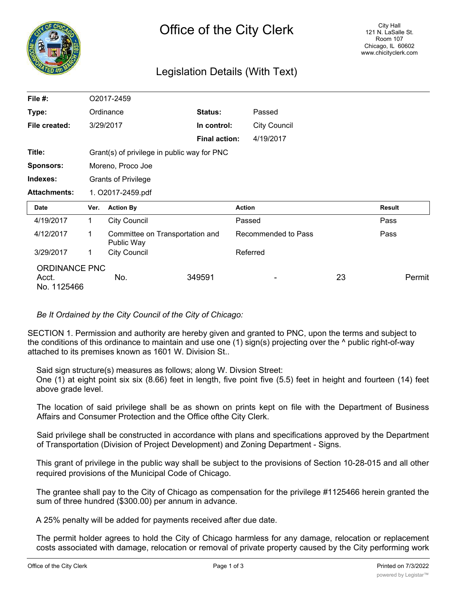

# Legislation Details (With Text)

| File #:             |                                             | O2017-2459                                    |                      |                     |  |               |  |
|---------------------|---------------------------------------------|-----------------------------------------------|----------------------|---------------------|--|---------------|--|
| Type:               |                                             | Ordinance                                     | Status:              | Passed              |  |               |  |
| File created:       |                                             | 3/29/2017                                     | In control:          | <b>City Council</b> |  |               |  |
|                     |                                             |                                               | <b>Final action:</b> | 4/19/2017           |  |               |  |
| Title:              | Grant(s) of privilege in public way for PNC |                                               |                      |                     |  |               |  |
| <b>Sponsors:</b>    |                                             | Moreno, Proco Joe                             |                      |                     |  |               |  |
| Indexes:            |                                             | <b>Grants of Privilege</b>                    |                      |                     |  |               |  |
| <b>Attachments:</b> | 1. O2017-2459.pdf                           |                                               |                      |                     |  |               |  |
|                     |                                             |                                               |                      |                     |  |               |  |
| <b>Date</b>         | Ver.                                        | <b>Action By</b>                              |                      | <b>Action</b>       |  | <b>Result</b> |  |
| 4/19/2017           | 1.                                          | <b>City Council</b>                           |                      | Passed              |  | Pass          |  |
| 4/12/2017           | 1                                           | Committee on Transportation and<br>Public Way |                      | Recommended to Pass |  | Pass          |  |
| 3/29/2017           | $\mathbf 1$                                 | <b>City Council</b>                           |                      | Referred            |  |               |  |

# *Be It Ordained by the City Council of the City of Chicago:*

SECTION 1. Permission and authority are hereby given and granted to PNC, upon the terms and subject to the conditions of this ordinance to maintain and use one (1) sign(s) projecting over the ^ public right-of-way attached to its premises known as 1601 W. Division St..

Said sign structure(s) measures as follows; along W. Divsion Street:

One (1) at eight point six six (8.66) feet in length, five point five (5.5) feet in height and fourteen (14) feet above grade level.

The location of said privilege shall be as shown on prints kept on file with the Department of Business Affairs and Consumer Protection and the Office ofthe City Clerk.

Said privilege shall be constructed in accordance with plans and specifications approved by the Department of Transportation (Division of Project Development) and Zoning Department - Signs.

This grant of privilege in the public way shall be subject to the provisions of Section 10-28-015 and all other required provisions of the Municipal Code of Chicago.

The grantee shall pay to the City of Chicago as compensation for the privilege #1125466 herein granted the sum of three hundred (\$300.00) per annum in advance.

A 25% penalty will be added for payments received after due date.

The permit holder agrees to hold the City of Chicago harmless for any damage, relocation or replacement costs associated with damage, relocation or removal of private property caused by the City performing work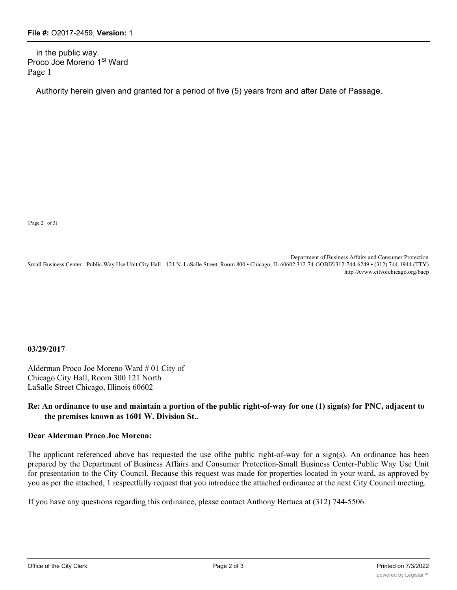in the public way. Proco Joe Moreno 1SI Ward Page 1

Authority herein given and granted for a period of five (5) years from and after Date of Passage.

(Page 2 of 3)

Department of Business Affairs and Consumer Protection Small Business Center - Public Way Use Unit City Hall - 121 N. LaSalle Street, Room 800 • Chicago, IL 60602 312-74-GOBIZ/312-744-6249 • (312) 744-1944 (TTY) http /Avww.cilvofchicago.org/bacp

#### **03/29/2017**

Alderman Proco Joe Moreno Ward # 01 City of Chicago City Hall, Room 300 121 North LaSalle Street Chicago, Illinois 60602

### **Re: An ordinance to use and maintain a portion of the public right-of-way for one (1) sign(s) for PNC, adjacent to the premises known as 1601 W. Division St..**

## **Dear Alderman Proco Joe Moreno:**

The applicant referenced above has requested the use ofthe public right-of-way for a sign(s). An ordinance has been prepared by the Department of Business Affairs and Consumer Protection-Small Business Center-Public Way Use Unit for presentation to the City Council. Because this request was made for properties located in your ward, as approved by you as per the attached, 1 respectfully request that you introduce the attached ordinance at the next City Council meeting.

If you have any questions regarding this ordinance, please contact Anthony Bertuca at (312) 744-5506.